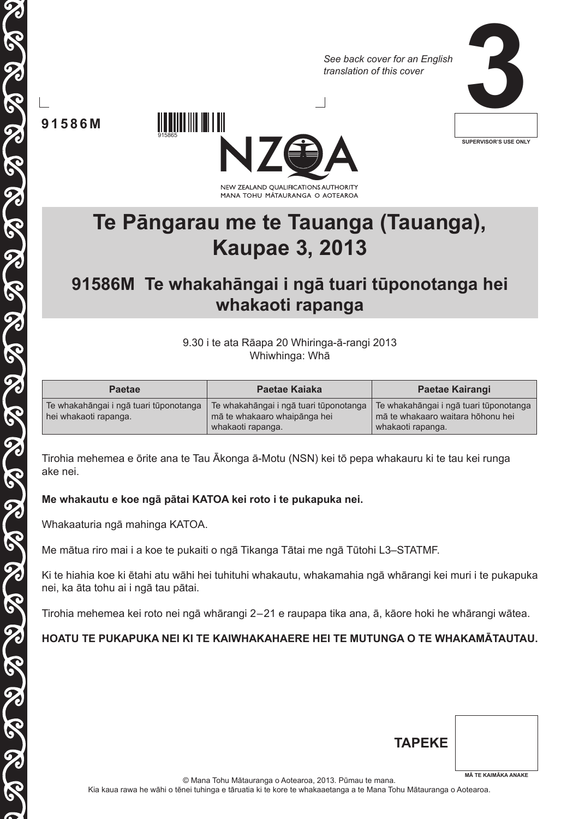*See back cover for an English translation of this cover*



**91586M**

915865





# **Te Pāngarau me te Tauanga (Tauanga), Kaupae 3, 2013**

## **91586M Te whakahāngai i ngā tuari tūponotanga hei whakaoti rapanga**

9.30 i te ata Rāapa 20 Whiringa-ā-rangi 2013 Whiwhinga: Whā

| <b>Paetae</b>                                                   | Paetae Kajaka                                                                               | Paetae Kairangi                                                                                  |
|-----------------------------------------------------------------|---------------------------------------------------------------------------------------------|--------------------------------------------------------------------------------------------------|
| Te whakahāngai i ngā tuari tūponotanga<br>hei whakaoti rapanga. | Te whakahāngai i ngā tuari tūponotanga<br>mā te whakaaro whaipānga hei<br>whakaoti rapanga. | Te whakahāngai i ngā tuari tūponotanga<br>mā te whakaaro waitara hōhonu hei<br>whakaoti rapanga. |

Tirohia mehemea e ōrite ana te Tau Ākonga ā-Motu (NSN) kei tō pepa whakauru ki te tau kei runga ake nei.

#### **Me whakautu e koe ngā pātai KATOA kei roto i te pukapuka nei.**

Whakaaturia ngā mahinga KATOA.

Me mātua riro mai i a koe te pukaiti o ngā Tikanga Tātai me ngā Tūtohi L3–STATMF.

Ki te hiahia koe ki ētahi atu wāhi hei tuhituhi whakautu, whakamahia ngā whārangi kei muri i te pukapuka nei, ka āta tohu ai i ngā tau pātai.

Tirohia mehemea kei roto nei ngā whārangi 2 – 21 e raupapa tika ana, ā, kāore hoki he whārangi wātea.

#### **HOATU TE PUKAPUKA NEI KI TE KAIWHAKAHAERE HEI TE MUTUNGA O TE WHAKAMĀTAUTAU.**

| <b>TAPEKE</b> | <b>MĀ TE KAIMĀKA ANAKE</b> |
|---------------|----------------------------|
|               |                            |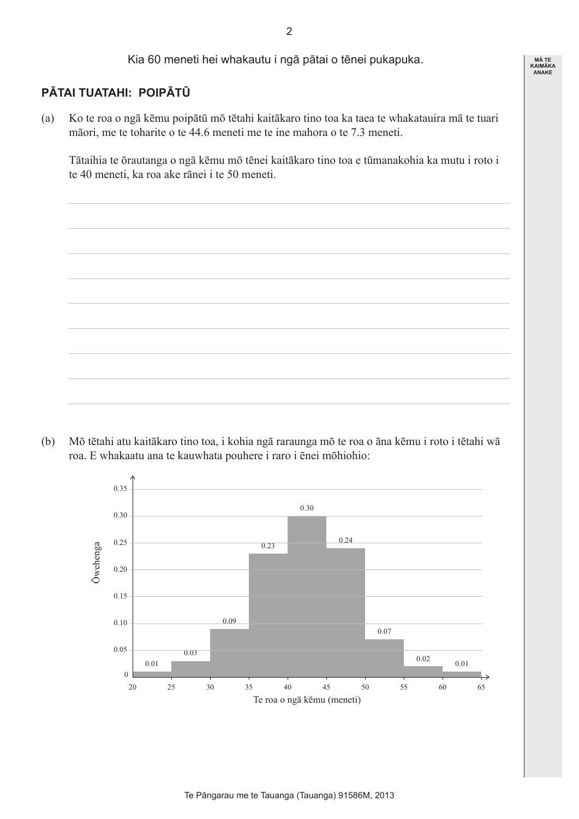Kia 60 meneti hei whakautu i ngā pātai o tēnei pukapuka.

#### **PĀTAI TUATAHI: POIPĀTŪ**

(a) Ko te roa o ngā kēmu poipātū mō tētahi kaitākaro tino toa ka taea te whakatauira mā te tuari māori, me te toharite o te 44.6 meneti me te ine mahora o te 7.3 meneti.

Tātaihia te ōrautanga o ngā kēmu mō tēnei kaitākaro tino toa e tūmanakohia ka mutu i roto i te 40 meneti, ka roa ake rānei i te 50 meneti.

(b) Mō tētahi atu kaitākaro tino toa, i kohia ngā raraunga mō te roa o āna kēmu i roto i tētahi wā roa. E whakaatu ana te kauwhata pouhere i raro i ēnei mōhiohio:



**MĀ TE KAIMĀKA ANAKE**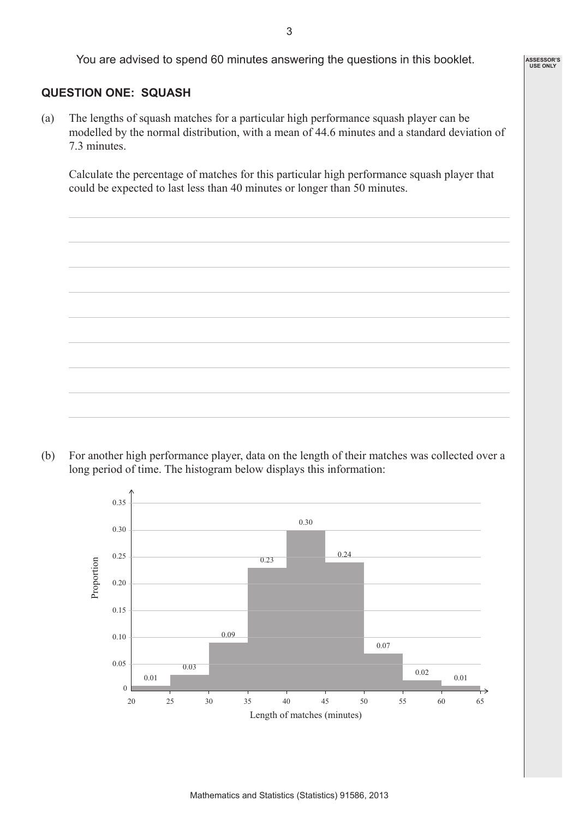You are advised to spend 60 minutes answering the questions in this booklet.

#### **QUESTION ONE: SQUASH**

(a) The lengths of squash matches for a particular high performance squash player can be modelled by the normal distribution, with a mean of 44.6 minutes and a standard deviation of 7.3 minutes.

Calculate the percentage of matches for this particular high performance squash player that could be expected to last less than 40 minutes or longer than 50 minutes.

(b) For another high performance player, data on the length of their matches was collected over a long period of time. The histogram below displays this information:



**ASSESSOR'S USE ONLY**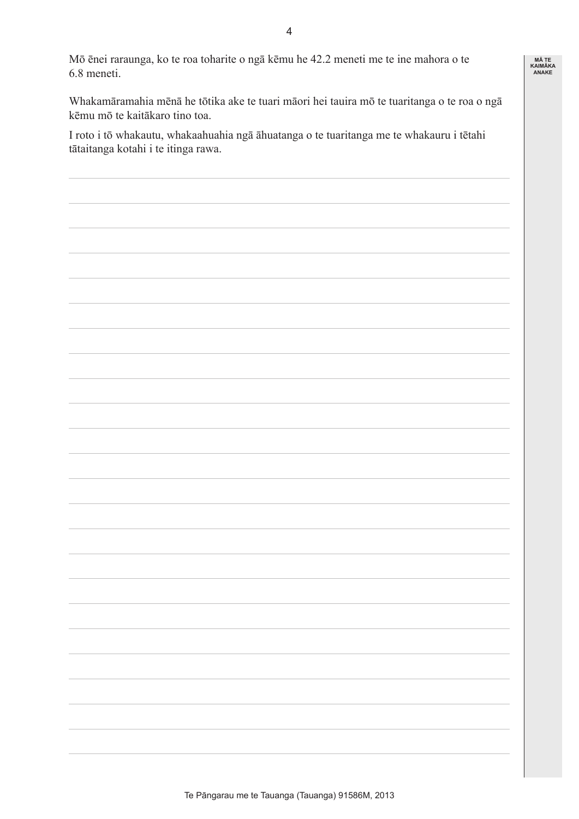**MĀ TE KAIMĀKA ANAKE**

Mō ēnei raraunga, ko te roa toharite o ngā kēmu he 42.2 meneti me te ine mahora o te 6.8 meneti.

Whakamāramahia mēnā he tōtika ake te tuari māori hei tauira mō te tuaritanga o te roa o ngā kēmu mō te kaitākaro tino toa.

I roto i tō whakautu, whakaahuahia ngā āhuatanga o te tuaritanga me te whakauru i tētahi tātaitanga kotahi i te itinga rawa.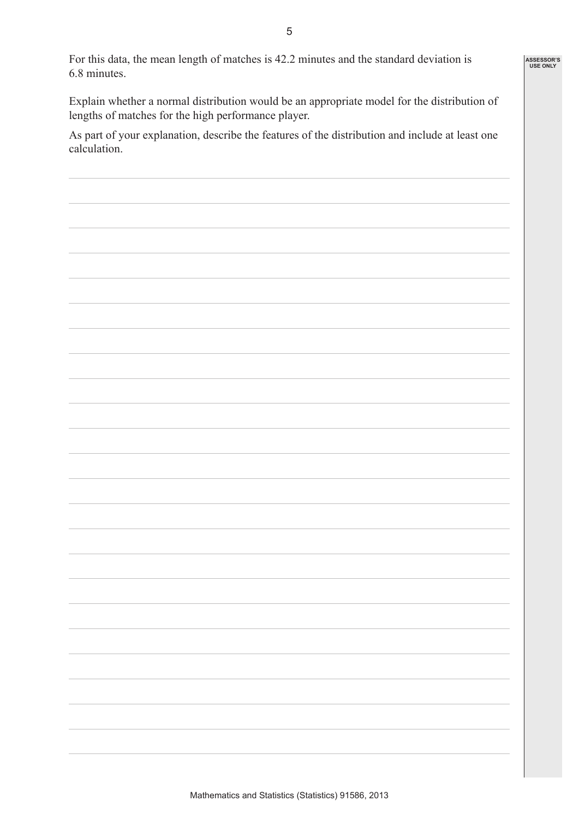**ASSESSOR'S USE ONLY**

For this data, the mean length of matches is 42.2 minutes and the standard deviation is 6.8 minutes.

Explain whether a normal distribution would be an appropriate model for the distribution of lengths of matches for the high performance player.

As part of your explanation, describe the features of the distribution and include at least one calculation.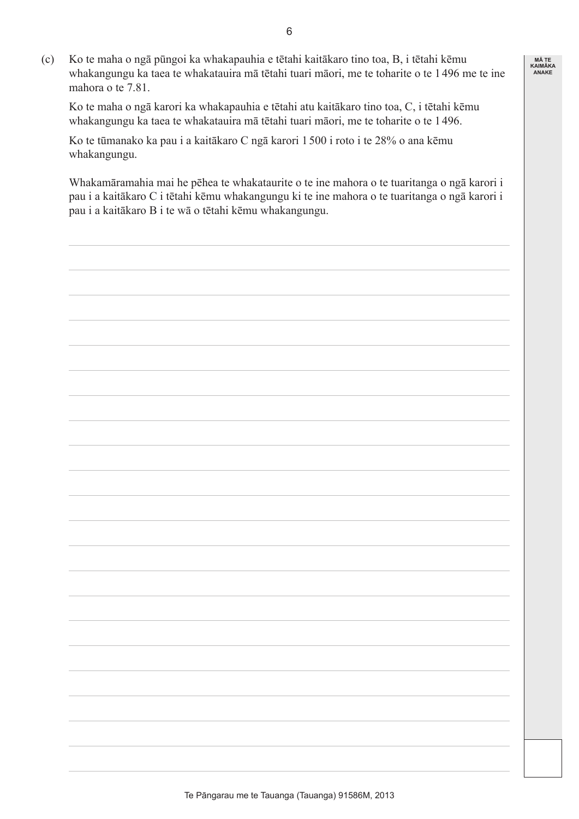(c) Ko te maha o ngā pūngoi ka whakapauhia e tētahi kaitākaro tino toa, B, i tētahi kēmu whakangungu ka taea te whakatauira mā tētahi tuari māori, me te toharite o te 1496 me te ine mahora o te 7.81.

Ko te maha o ngā karori ka whakapauhia e tētahi atu kaitākaro tino toa, C, i tētahi kēmu whakangungu ka taea te whakatauira mā tētahi tuari māori, me te toharite o te 1496.

Ko te tūmanako ka pau i a kaitākaro C ngā karori 1500 i roto i te 28% o ana kēmu whakangungu.

Whakamāramahia mai he pēhea te whakataurite o te ine mahora o te tuaritanga o ngā karori i pau i a kaitākaro C i tētahi kēmu whakangungu ki te ine mahora o te tuaritanga o ngā karori i pau i a kaitākaro B i te wā o tētahi kēmu whakangungu.



**MĀ TE KAIMĀKA ANAKE**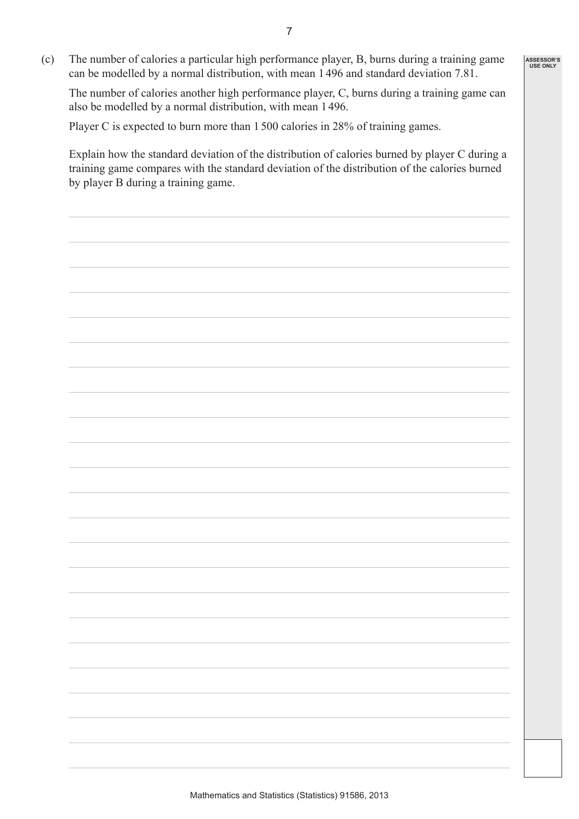(c) The number of calories a particular high performance player, B, burns during a training game can be modelled by a normal distribution, with mean 1496 and standard deviation 7.81.

The number of calories another high performance player, C, burns during a training game can also be modelled by a normal distribution, with mean 1496.

Player C is expected to burn more than 1500 calories in 28% of training games.

Explain how the standard deviation of the distribution of calories burned by player C during a training game compares with the standard deviation of the distribution of the calories burned by player B during a training game.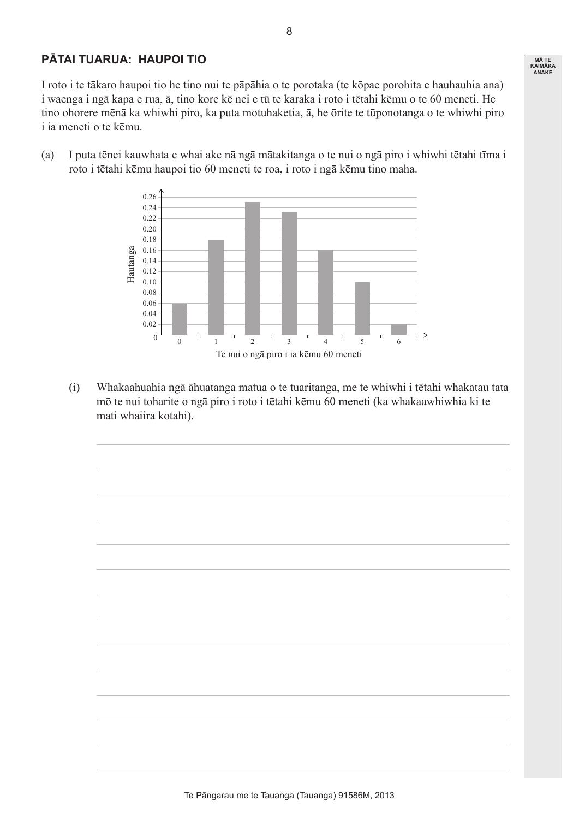## **MĀ TE KAIMĀKA ANAKE**

#### **PĀTAI TUARUA: HAUPOI TIO**

I roto i te tākaro haupoi tio he tino nui te pāpāhia o te porotaka (te kōpae porohita e hauhauhia ana) i waenga i ngā kapa e rua, ā, tino kore kē nei e tū te karaka i roto i tētahi kēmu o te 60 meneti. He tino ohorere mēnā ka whiwhi piro, ka puta motuhaketia, ā, he ōrite te tūponotanga o te whiwhi piro i ia meneti o te kēmu.

(a) I puta tēnei kauwhata e whai ake nā ngā mātakitanga o te nui o ngā piro i whiwhi tētahi tīma i roto i tētahi kēmu haupoi tio 60 meneti te roa, i roto i ngā kēmu tino maha.



(i) Whakaahuahia ngā āhuatanga matua o te tuaritanga, me te whiwhi i tētahi whakatau tata mō te nui toharite o ngā piro i roto i tētahi kēmu 60 meneti (ka whakaawhiwhia ki te mati whaiira kotahi).

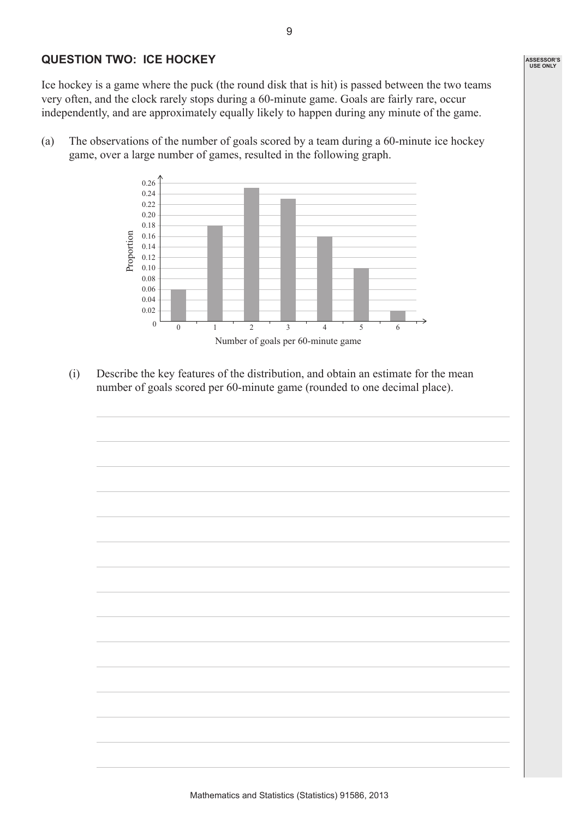#### **QUESTION TWO: ICE HOCKEY**

Ice hockey is a game where the puck (the round disk that is hit) is passed between the two teams very often, and the clock rarely stops during a 60-minute game. Goals are fairly rare, occur independently, and are approximately equally likely to happen during any minute of the game.

(a) The observations of the number of goals scored by a team during a 60-minute ice hockey game, over a large number of games, resulted in the following graph.



(i) Describe the key features of the distribution, and obtain an estimate for the mean number of goals scored per 60-minute game (rounded to one decimal place).



9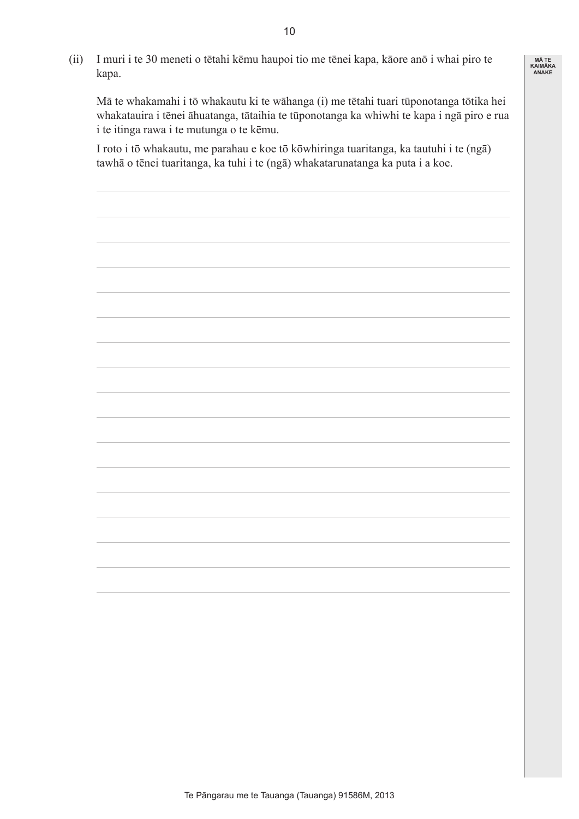(ii) I muri i te 30 meneti o tētahi kēmu haupoi tio me tēnei kapa, kāore anō i whai piro te kapa.

Mā te whakamahi i tō whakautu ki te wāhanga (i) me tētahi tuari tūponotanga tōtika hei whakatauira i tēnei āhuatanga, tātaihia te tūponotanga ka whiwhi te kapa i ngā piro e rua i te itinga rawa i te mutunga o te kēmu.

**MĀ TE KAIMĀKA ANAKE**

I roto i tō whakautu, me parahau e koe tō kōwhiringa tuaritanga, ka tautuhi i te (ngā) tawhā o tēnei tuaritanga, ka tuhi i te (ngā) whakatarunatanga ka puta i a koe.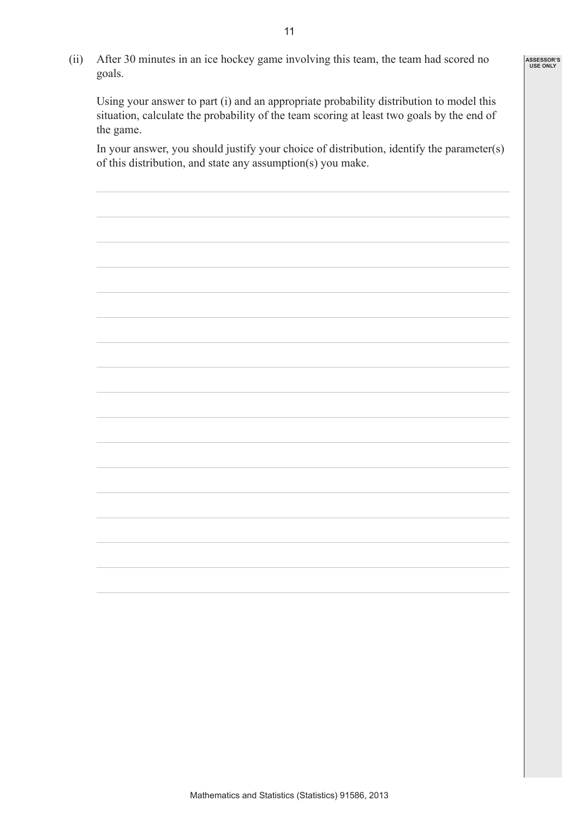(ii) After 30 minutes in an ice hockey game involving this team, the team had scored no goals.

Using your answer to part (i) and an appropriate probability distribution to model this situation, calculate the probability of the team scoring at least two goals by the end of the game.

**ASSESSOR'S USE ONLY**

In your answer, you should justify your choice of distribution, identify the parameter(s) of this distribution, and state any assumption(s) you make.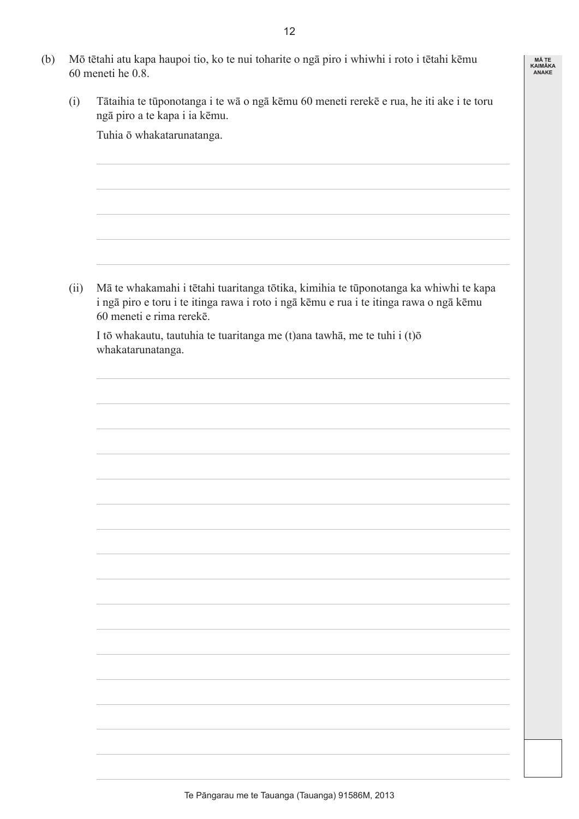**MĀ TE KAIMĀKA ANAKE**

- (b) Mō tētahi atu kapa haupoi tio, ko te nui toharite o ngā piro i whiwhi i roto i tētahi kēmu 60 meneti he 0.8.
	- (i) Tātaihia te tūponotanga i te wā o ngā kēmu 60 meneti rerekē e rua, he iti ake i te toru ngā piro a te kapa i ia kēmu.

Tuhia ō whakatarunatanga.

(ii) Mā te whakamahi i tētahi tuaritanga tōtika, kimihia te tūponotanga ka whiwhi te kapa i ngā piro e toru i te itinga rawa i roto i ngā kēmu e rua i te itinga rawa o ngā kēmu 60 meneti e rima rerekē.

I tō whakautu, tautuhia te tuaritanga me (t)ana tawhā, me te tuhi i (t)ō whakatarunatanga.

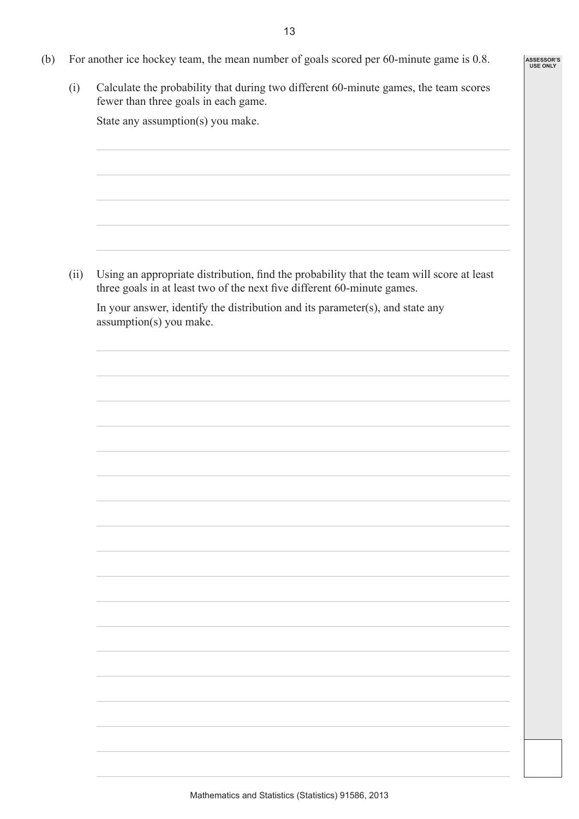**ASSESSOR'S USE ONLY**

- (b) For another ice hockey team, the mean number of goals scored per 60-minute game is 0.8.
	- (i) Calculate the probability that during two different 60-minute games, the team scores fewer than three goals in each game.

State any assumption(s) you make.

(ii) Using an appropriate distribution, find the probability that the team will score at least three goals in at least two of the next five different 60-minute games.

In your answer, identify the distribution and its parameter(s), and state any assumption(s) you make.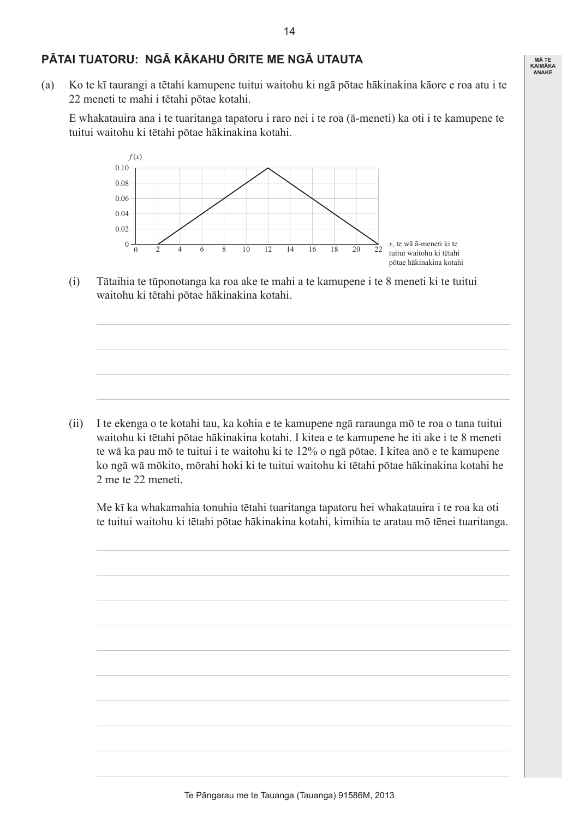#### **PĀTAI TUATORU: NGĀ KĀKAHU ŌRITE ME NGĀ UTAUTA**

0.06 0.08 0.10

*f* (*x*)

(a) Ko te kī taurangi a tētahi kamupene tuitui waitohu ki ngā pōtae hākinakina kāore e roa atu i te 22 meneti te mahi i tētahi pōtae kotahi.

E whakatauira ana i te tuaritanga tapatoru i raro nei i te roa (ā-meneti) ka oti i te kamupene te tuitui waitohu ki tētahi pōtae hākinakina kotahi.

 $14$ 



(i) Tātaihia te tūponotanga ka roa ake te mahi a te kamupene i te 8 meneti ki te tuitui waitohu ki tētahi pōtae hākinakina kotahi.

(ii) I te ekenga o te kotahi tau, ka kohia e te kamupene ngā raraunga mō te roa o tana tuitui waitohu ki tētahi pōtae hākinakina kotahi. I kitea e te kamupene he iti ake i te 8 meneti te wā ka pau mō te tuitui i te waitohu ki te 12% o ngā pōtae. I kitea anō e te kamupene ko ngā wā mōkito, mōrahi hoki ki te tuitui waitohu ki tētahi pōtae hākinakina kotahi he 2 me te 22 meneti.

Me kī ka whakamahia tonuhia tētahi tuaritanga tapatoru hei whakatauira i te roa ka oti te tuitui waitohu ki tētahi pōtae hākinakina kotahi, kimihia te aratau mō tēnei tuaritanga.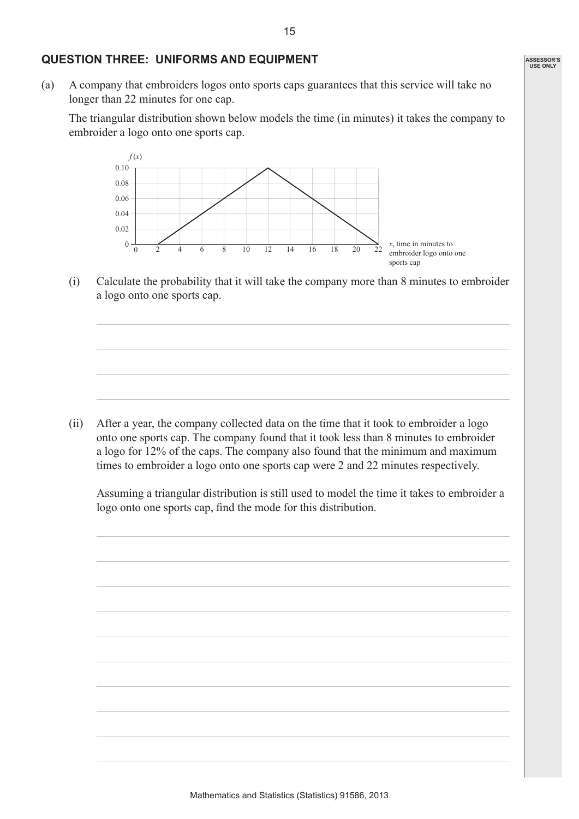#### **QUESTION THREE: UNIFORMS AND EQUIPMENT**

 $0 - \frac{1}{0}$ 0.02 0.04 0.06 0.08 0.10

*f* (*x*)

(a) A company that embroiders logos onto sports caps guarantees that this service will take no longer than 22 minutes for one cap.

The triangular distribution shown below models the time (in minutes) it takes the company to embroider a logo onto one sports cap.

15

(i) Calculate the probability that it will take the company more than 8 minutes to embroider a logo onto one sports cap.

2468 10 12 14 16 18 20 22

(ii) After a year, the company collected data on the time that it took to embroider a logo onto one sports cap. The company found that it took less than 8 minutes to embroider a logo for 12% of the caps. The company also found that the minimum and maximum times to embroider a logo onto one sports cap were 2 and 22 minutes respectively.

Assuming a triangular distribution is still used to model the time it takes to embroider a logo onto one sports cap, find the mode for this distribution.



**ASSESSOR'S USE ONLY**

*x*, time in minutes to embroider logo onto one

sports cap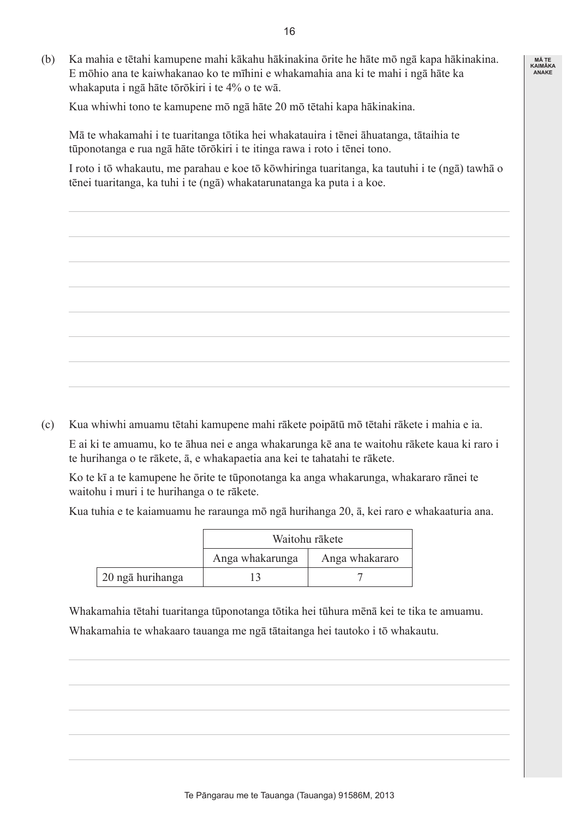(b) Ka mahia e tētahi kamupene mahi kākahu hākinakina ōrite he hāte mō ngā kapa hākinakina. E mōhio ana te kaiwhakanao ko te mīhini e whakamahia ana ki te mahi i ngā hāte ka whakaputa i ngā hāte tōrōkiri i te 4% o te wā.

Kua whiwhi tono te kamupene mō ngā hāte 20 mō tētahi kapa hākinakina.

Mā te whakamahi i te tuaritanga tōtika hei whakatauira i tēnei āhuatanga, tātaihia te tūponotanga e rua ngā hāte tōrōkiri i te itinga rawa i roto i tēnei tono.

I roto i tō whakautu, me parahau e koe tō kōwhiringa tuaritanga, ka tautuhi i te (ngā) tawhā o tēnei tuaritanga, ka tuhi i te (ngā) whakatarunatanga ka puta i a koe.

(c) Kua whiwhi amuamu tētahi kamupene mahi rākete poipātū mō tētahi rākete i mahia e ia.

E ai ki te amuamu, ko te āhua nei e anga whakarunga kē ana te waitohu rākete kaua ki raro i te hurihanga o te rākete, ā, e whakapaetia ana kei te tahatahi te rākete.

Ko te kī a te kamupene he ōrite te tūponotanga ka anga whakarunga, whakararo rānei te waitohu i muri i te hurihanga o te rākete.

Kua tuhia e te kaiamuamu he raraunga mō ngā hurihanga 20, ā, kei raro e whakaaturia ana.

|                  | Waitohu rākete  |                |
|------------------|-----------------|----------------|
|                  | Anga whakarunga | Anga whakararo |
| 20 ngā hurihanga |                 |                |

Whakamahia tētahi tuaritanga tūponotanga tōtika hei tūhura mēnā kei te tika te amuamu. Whakamahia te whakaaro tauanga me ngā tātaitanga hei tautoko i tō whakautu.

**MĀ TE KAIMĀKA ANAKE**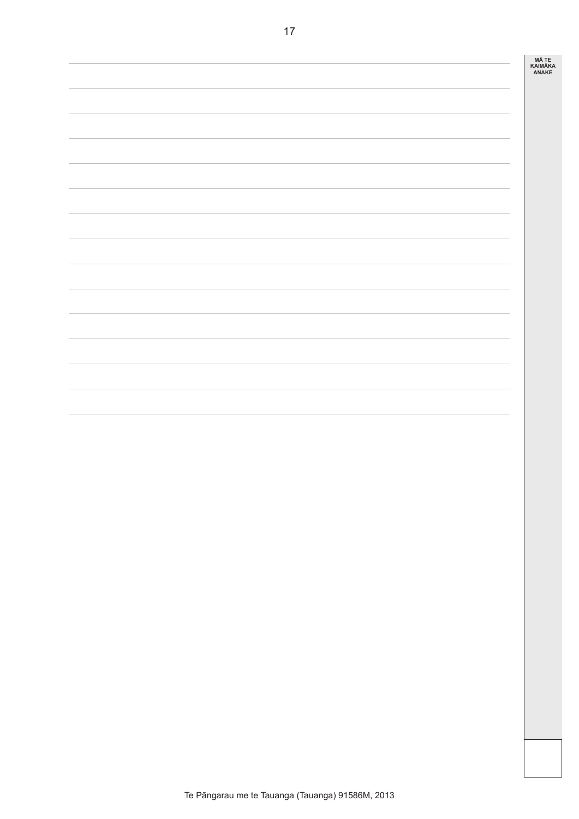| MÃ TE<br>KAIMĀKA<br>ANAKE |
|---------------------------|
|                           |
|                           |
|                           |
|                           |
|                           |
|                           |
|                           |
|                           |
|                           |
|                           |
|                           |
|                           |
|                           |
|                           |
|                           |
|                           |
|                           |
|                           |
|                           |
|                           |
|                           |
|                           |
|                           |
|                           |
|                           |
|                           |
|                           |
|                           |
|                           |
|                           |
|                           |
|                           |
|                           |
|                           |
|                           |
|                           |
|                           |
|                           |
|                           |
|                           |
|                           |
|                           |
|                           |
|                           |
|                           |
|                           |
|                           |
|                           |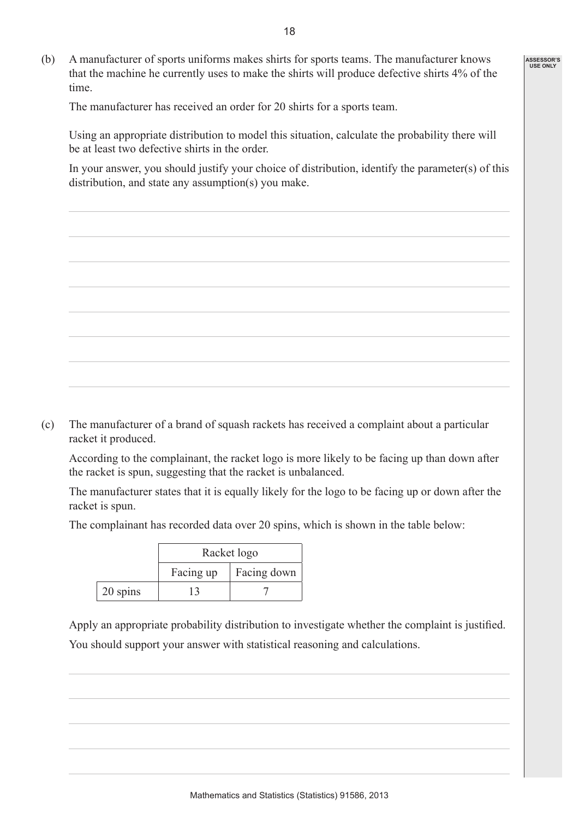(b) A manufacturer of sports uniforms makes shirts for sports teams. The manufacturer knows that the machine he currently uses to make the shirts will produce defective shirts 4% of the time.

The manufacturer has received an order for 20 shirts for a sports team.

Using an appropriate distribution to model this situation, calculate the probability there will be at least two defective shirts in the order.

In your answer, you should justify your choice of distribution, identify the parameter(s) of this distribution, and state any assumption(s) you make.



According to the complainant, the racket logo is more likely to be facing up than down after the racket is spun, suggesting that the racket is unbalanced.

The manufacturer states that it is equally likely for the logo to be facing up or down after the racket is spun.

The complainant has recorded data over 20 spins, which is shown in the table below:

|          | Racket logo |             |
|----------|-------------|-------------|
|          | Facing up   | Facing down |
| 20 spins | 13          |             |

Apply an appropriate probability distribution to investigate whether the complaint is justified. You should support your answer with statistical reasoning and calculations.

**ASSESSOR'S USE ONLY**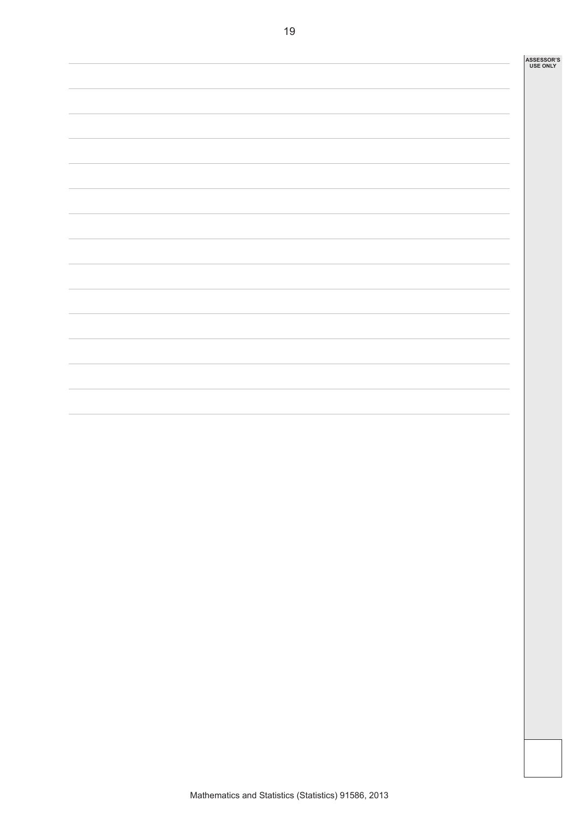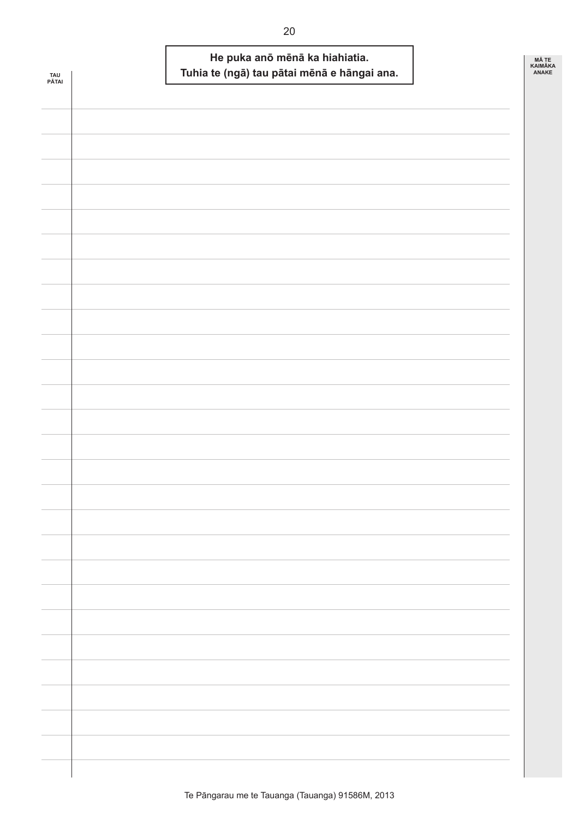|              | He puka anō mēnā ka hiahiatia.              |                           |
|--------------|---------------------------------------------|---------------------------|
| TAU<br>PĀTAI | Tuhia te (ngā) tau pātai mēnā e hāngai ana. | MÃ TE<br>KAIMÃKA<br>ANAKE |
|              |                                             |                           |
|              |                                             |                           |
|              |                                             |                           |
|              |                                             |                           |
|              |                                             |                           |
|              |                                             |                           |
|              |                                             |                           |
|              |                                             |                           |
|              |                                             |                           |
|              |                                             |                           |
|              |                                             |                           |
|              |                                             |                           |
|              |                                             |                           |
|              |                                             |                           |
|              |                                             |                           |
|              |                                             |                           |
|              |                                             |                           |
|              |                                             |                           |
|              |                                             |                           |
|              |                                             |                           |
|              |                                             |                           |
|              |                                             |                           |
|              |                                             |                           |
|              |                                             |                           |
|              |                                             |                           |
|              |                                             |                           |
|              |                                             |                           |
|              |                                             |                           |
|              |                                             |                           |
|              |                                             |                           |
|              |                                             |                           |
|              |                                             |                           |
|              |                                             |                           |
|              |                                             |                           |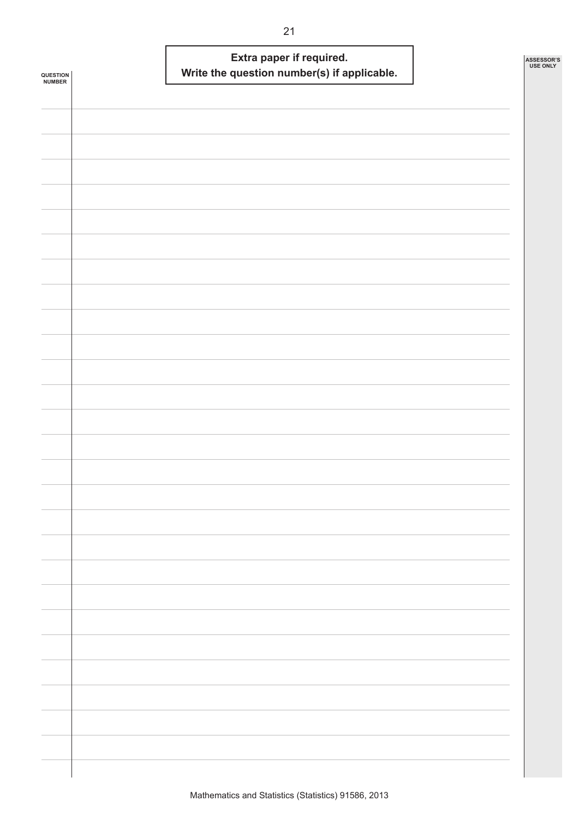| <b>QUESTION<br/>NUMBER</b> | Extra paper if required.<br>Write the question number(s) if applicable. | ASSESSOR'S | <b>USE ONLY</b> |
|----------------------------|-------------------------------------------------------------------------|------------|-----------------|
|                            |                                                                         |            |                 |
|                            |                                                                         |            |                 |
|                            |                                                                         |            |                 |
|                            |                                                                         |            |                 |
|                            |                                                                         |            |                 |
|                            |                                                                         |            |                 |
|                            |                                                                         |            |                 |
|                            |                                                                         |            |                 |
|                            |                                                                         |            |                 |
|                            |                                                                         |            |                 |
|                            |                                                                         |            |                 |
|                            |                                                                         |            |                 |
|                            |                                                                         |            |                 |
|                            |                                                                         |            |                 |
|                            |                                                                         |            |                 |
|                            |                                                                         |            |                 |
|                            |                                                                         |            |                 |
|                            |                                                                         |            |                 |
|                            |                                                                         |            |                 |
|                            |                                                                         |            |                 |
|                            |                                                                         |            |                 |
|                            |                                                                         |            |                 |
|                            |                                                                         |            |                 |
|                            |                                                                         |            |                 |
|                            |                                                                         |            |                 |
|                            |                                                                         |            |                 |
|                            |                                                                         |            |                 |